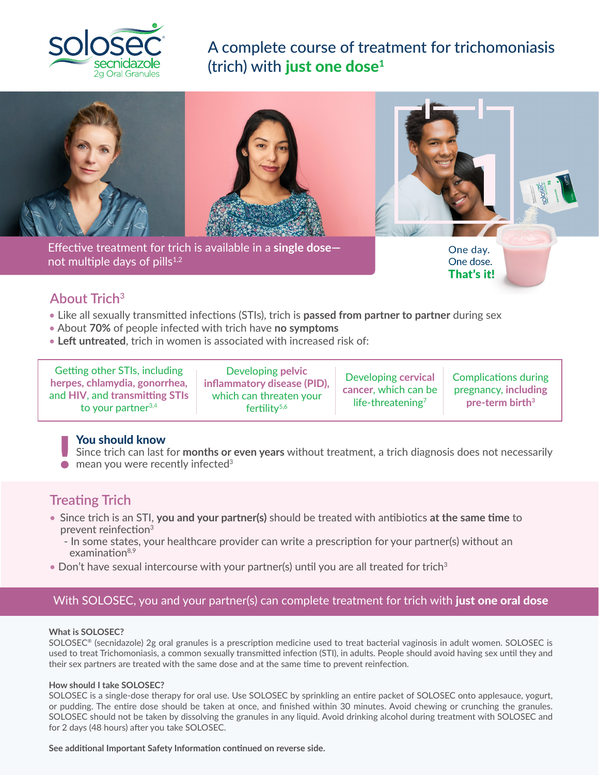

A complete course of treatment for trichomoniasis (trich) with just one dose $1$ 





Effective treatment for trich is available in a single dose— not multiple days of pills.1,2 Effective treatment for trich is available in a **single dose** not multiple days of pills $1,2$ 

One day. One dose. That's it!

## **About Trich<sup>3</sup>**

- Like all sexually transmitted infections (STIs), trich is **passed from partner to partner** during sex
- About **70%** of people infected with trich have **no symptoms**
- **Left untreated**, trich in women is associated with increased risk of:

Getting other STIs, including **herpes, chlamydia, gonorrhea,**  and **HIV**, and **transmitting STIs**  to your partner $3,4$ 

Developing **pelvic inflammatory disease (PID),** which can threaten your fertility<sup>5,6</sup>

Developing **cervical cancer**, which can be life-threatening<sup>7</sup>

Complications during pregnancy, **including pre-term birth3**

### You should know

Since trich can last for **months or even years** without treatment, a trich diagnosis does not necessarily ■ You should know<br>Since trich can last for months or<br>● mean you were recently infected<sup>3</sup>

## **Treating Trich**

- Since trich is an STI, **you and your partner(s)** should be treated with antibiotics **at the same time** to prevent reinfection<sup>3</sup>
	- In some states, your healthcare provider can write a prescription for your partner(s) without an  $examination<sup>8,9</sup>$
- Don't have sexual intercourse with your partner(s) until you are all treated for trich<sup>3</sup>

## With SOLOSEC, you and your partner(s) can complete treatment for trich with just one oral dose

#### **What is SOLOSEC?**

SOLOSEC® (secnidazole) 2g oral granules is a prescription medicine used to treat bacterial vaginosis in adult women. SOLOSEC is used to treat Trichomoniasis, a common sexually transmitted infection (STI), in adults. People should avoid having sex until they and their sex partners are treated with the same dose and at the same time to prevent reinfection.

#### **How should I take SOLOSEC?**

SOLOSEC is a single-dose therapy for oral use. Use SOLOSEC by sprinkling an entire packet of SOLOSEC onto applesauce, yogurt, or pudding. The entire dose should be taken at once, and finished within 30 minutes. Avoid chewing or crunching the granules. SOLOSEC should not be taken by dissolving the granules in any liquid. Avoid drinking alcohol during treatment with SOLOSEC and for 2 days (48 hours) after you take SOLOSEC.

**See additional Important Safety Information continued on reverse side.**